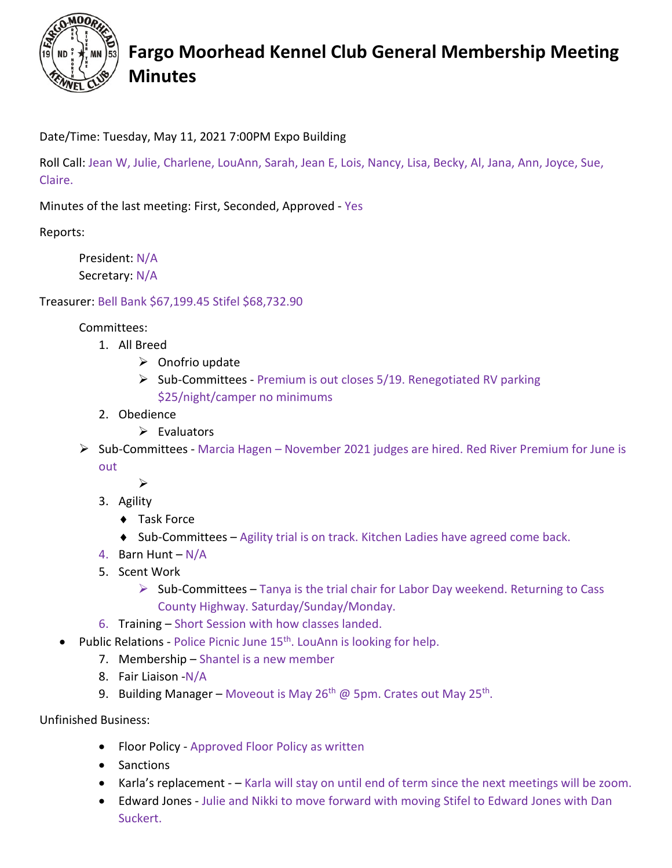

## **Fargo Moorhead Kennel Club General Membership Meeting Minutes**

Date/Time: Tuesday, May 11, 2021 7:00PM Expo Building

Roll Call: Jean W, Julie, Charlene, LouAnn, Sarah, Jean E, Lois, Nancy, Lisa, Becky, Al, Jana, Ann, Joyce, Sue, Claire.

Minutes of the last meeting: First, Seconded, Approved - Yes

Reports:

President: N/A Secretary: N/A

Treasurer: Bell Bank \$67,199.45 Stifel \$68,732.90

Committees:

- 1. All Breed
	- $\triangleright$  Onofrio update
	- $\triangleright$  Sub-Committees Premium is out closes 5/19. Renegotiated RV parking \$25/night/camper no minimums
- 2. Obedience
	- $\triangleright$  Evaluators
- Sub-Committees Marcia Hagen November 2021 judges are hired. Red River Premium for June is out
	-
	- 3. Agility

 $\blacktriangleright$ 

- ♦ Task Force
- $\bullet$  Sub-Committees Agility trial is on track. Kitchen Ladies have agreed come back.
- 4. Barn Hunt N/A
- 5. Scent Work
	- $\triangleright$  Sub-Committees Tanya is the trial chair for Labor Day weekend. Returning to Cass County Highway. Saturday/Sunday/Monday.
- 6. Training Short Session with how classes landed.
- Public Relations Police Picnic June 15<sup>th</sup>. LouAnn is looking for help.
	- 7. Membership Shantel is a new member
	- 8. Fair Liaison -N/A
	- 9. Building Manager Moveout is May  $26<sup>th</sup>$  @ 5pm. Crates out May  $25<sup>th</sup>$ .

Unfinished Business:

- Floor Policy Approved Floor Policy as written
- Sanctions
- Karla's replacement – Karla will stay on until end of term since the next meetings will be zoom.
- Edward Jones Julie and Nikki to move forward with moving Stifel to Edward Jones with Dan Suckert.